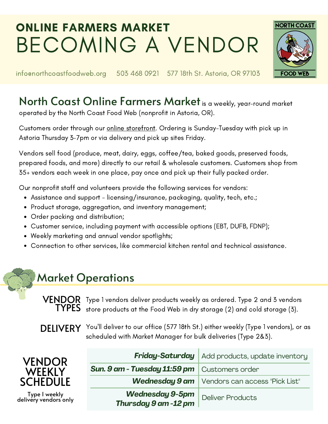# ONLINE FARMERS MARKET BECOMING A VENDOR



info@northcoastfoodweb.org 503 468 0921 577 18th St. Astoria, OR 97103

## North Coast Online Farmers Market is a weekly, year-round market

operated by the North Coast Food Web (nonprofit in Astoria, OR).

Customers order through our online [storefront](https://northcoastfoodweb.localfoodmarketplace.com/). Ordering is Sunday-Tuesday with pick up in Astoria Thursday 3-7pm or via delivery and pick up sites Friday.

Vendors sell food (produce, meat, dairy, eggs, coffee/tea, baked goods, preserved foods, prepared foods, and more) directly to our retail & wholesale customers. Customers shop from 35+ vendors each week in one place, pay once and pick up their fully packed order.

Our nonprofit staff and volunteers provide the following services for vendors:

- Assistance and support licensing/insurance, packaging, quality, tech, etc.;
- Product storage, aggregation, and inventory management;
- Order packing and distribution;
- Customer service, including payment with accessible options (EBT, DUFB, FDNP);
- Weekly marketing and annual vendor spotlights;
- Connection to other services, like commercial kitchen rental and technical assistance.

## Market Operations

 $\bm{\mathsf{V}}$   $\mathsf{FMDQR}$  . Type 1 vendors deliver products weekly as ordered. Type 2 and 3 vendors  $\textbf{TPES} \ \text{\scriptsize{store}}$  products at the Food Web in dry storage (2) and cold storage (3).

DELIVERY You'll deliver to our office (577 18th St.) either weekly (Type 1 vendors), or as scheduled with Market Manager for bulk deliveries (Type 2&3).

| <b>VENDOR</b><br><b>WEEKLY</b>         |                                                | <b>Friday-Saturday</b>   Add products, update inventory |
|----------------------------------------|------------------------------------------------|---------------------------------------------------------|
|                                        | Sun. 9 am - Tuesday 11:59 pm   Customers order |                                                         |
| <b>SCHEDULE</b>                        |                                                | <b>Wednesday 9 am</b>   Vendors can access "Pick List"  |
| Type I weekly<br>delivery vendors only | <b>Wednesday 9-5pm</b><br>Thursday 9 am -12 pm | <b>Deliver Products</b>                                 |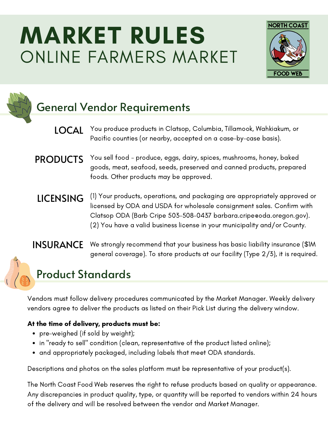# MARKET RULES ONLINE FARMERS MARKET



### General Vendor Requirements

- You produce products in Clatsop, Columbia, Tillamook, Wahkiakum, or Pacific counties (or nearby, accepted on a case-by-case basis). LOCAL
- You sell food produce, eggs, dairy, spices, mushrooms, honey, baked goods, meat, seafood, seeds, preserved and canned products, prepared foods. Other products may be approved. PRODUCTS
- (1) Your products, operations, and packaging are appropriately approved or licensed by ODA and USDA for wholesale consignment sales. Confirm with Clatsop ODA (Barb Cripe 503-508-0437 [barbara.cripe@oda.oregon.gov](mailto:barbara.cripe@oda.oregon.gov)). (2) You have a valid business license in your municipality and/or County. LICENSING

#### **INSURANCE** We strongly recommend that your business has basic liability insurance (\$1M) general coverage). To store products at our facility (Type 2/3), it is required.

#### Product Standards

Vendors must follow delivery procedures communicated by the Market Manager. Weekly delivery vendors agree to deliver the products as listed on their Pick List during the delivery window.

#### At the time of delivery, products must be:

- pre-weighed (if sold by weight);
- in "ready to sell" condition (clean, representative of the product listed online);
- and appropriately packaged, including labels that meet ODA standards.

Descriptions and photos on the sales platform must be representative of your product(s).

The North Coast Food Web reserves the right to refuse products based on quality or appearance. Any discrepancies in product quality, type, or quantity will be reported to vendors within 24 hours of the delivery and will be resolved between the vendor and Market Manager.